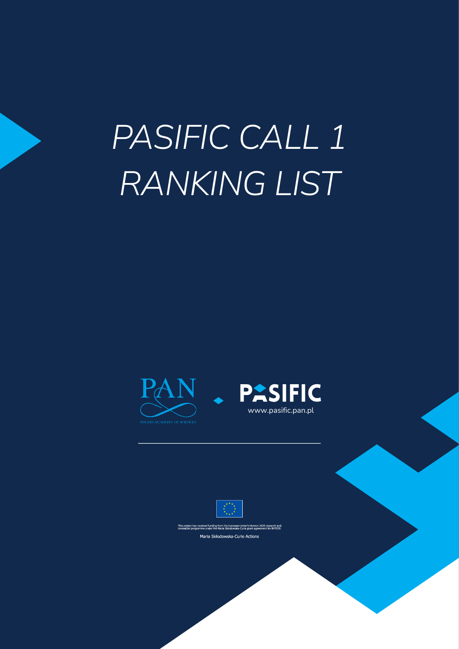# *PASIFIC CALL 1 RANKING LIST*







This project has received funding from the European Union's Horizon 2020 research and<br>innovation programme under the Maria Skłodowska-Curie grant agreement No 847639, Maria Skłodowska-Curie Actions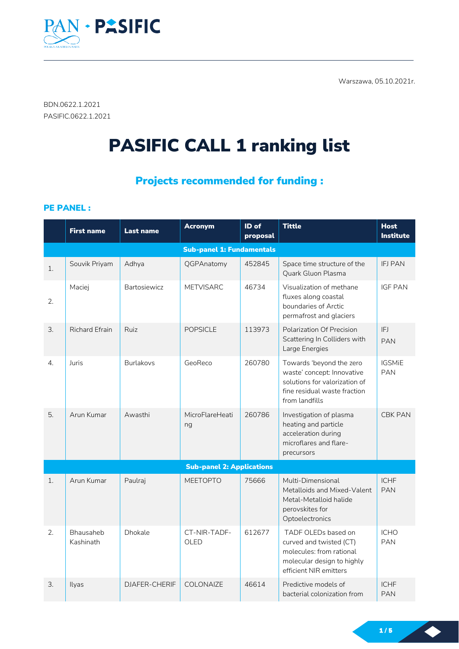Warszawa, 05.10.2021r.



BDN.0622.1.2021 PASIFIC.0622.1.2021

# PASIFIC CALL 1 ranking list

## Projects recommended for funding :

PE PANEL :

|    | <b>First name</b>      | <b>Last name</b> | <b>Acronym</b>                   | ID of<br>proposal | <b>Tittle</b>                                                                                                                             | <b>Host</b><br><b>Institute</b> |
|----|------------------------|------------------|----------------------------------|-------------------|-------------------------------------------------------------------------------------------------------------------------------------------|---------------------------------|
|    |                        |                  | <b>Sub-panel 1: Fundamentals</b> |                   |                                                                                                                                           |                                 |
| 1. | Souvik Priyam          | Adhya            | QGPAnatomy                       | 452845            | Space time structure of the<br>Quark Gluon Plasma                                                                                         | <b>IFJ PAN</b>                  |
| 2. | Maciej                 | Bartosiewicz     | <b>METVISARC</b>                 | 46734             | Visualization of methane<br>fluxes along coastal<br>boundaries of Arctic<br>permafrost and glaciers                                       | <b>IGF PAN</b>                  |
| 3. | <b>Richard Efrain</b>  | Ruiz             | <b>POPSICLE</b>                  | 113973            | Polarization Of Precision<br>Scattering In Colliders with<br>Large Energies                                                               | IFJ<br><b>PAN</b>               |
| 4. | Juris                  | <b>Burlakovs</b> | GeoReco                          | 260780            | Towards 'beyond the zero<br>waste' concept: Innovative<br>solutions for valorization of<br>fine residual waste fraction<br>from landfills | <b>IGSMiE</b><br><b>PAN</b>     |
| 5. | Arun Kumar             | Awasthi          | MicroFlareHeati<br>ng            | 260786            | Investigation of plasma<br>heating and particle<br>acceleration during<br>microflares and flare-<br>precursors                            | <b>CBK PAN</b>                  |
|    |                        |                  | <b>Sub-panel 2: Applications</b> |                   |                                                                                                                                           |                                 |
| 1. | Arun Kumar             | Paulraj          | <b>MEETOPTO</b>                  | 75666             | Multi-Dimensional<br>Metalloids and Mixed-Valent<br>Metal-Metalloid halide<br>perovskites for<br>Optoelectronics                          | <b>ICHF</b><br><b>PAN</b>       |
| 2. | Bhausaheb<br>Kashinath | Dhokale          | CT-NIR-TADF-<br>OLED             | 612677            | TADF OLEDs based on<br>curved and twisted (CT)<br>molecules: from rational<br>molecular design to highly<br>efficient NIR emitters        | <b>ICHO</b><br><b>PAN</b>       |
| 3. | Ilyas                  | DJAFER-CHERIF    | <b>COLONAIZE</b>                 | 46614             | Predictive models of<br>bacterial colonization from                                                                                       | <b>ICHF</b><br><b>PAN</b>       |

1 / 5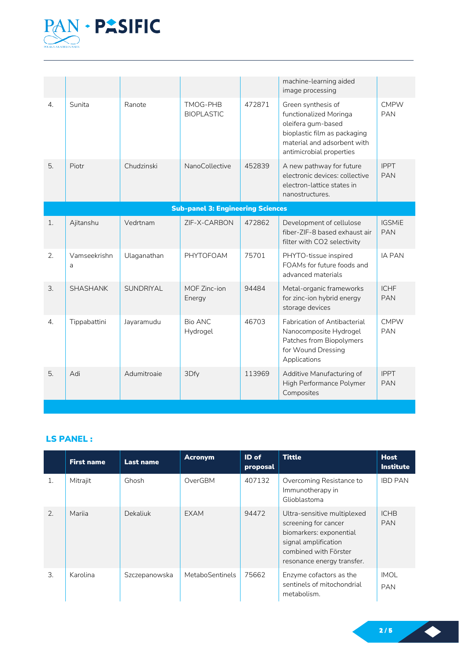

|                  |                                |             |                                          |        | machine-learning aided<br>image processing                                                                                                                    |                             |
|------------------|--------------------------------|-------------|------------------------------------------|--------|---------------------------------------------------------------------------------------------------------------------------------------------------------------|-----------------------------|
| 4.               | Sunita                         | Ranote      | TMOG-PHB<br><b>BIOPLASTIC</b>            | 472871 | Green synthesis of<br>functionalized Moringa<br>oleifera gum-based<br>bioplastic film as packaging<br>material and adsorbent with<br>antimicrobial properties | <b>CMPW</b><br><b>PAN</b>   |
| 5.               | Piotr                          | Chudzinski  | NanoCollective                           | 452839 | A new pathway for future<br>electronic devices: collective<br>electron-lattice states in<br>nanostructures.                                                   | <b>IPPT</b><br><b>PAN</b>   |
|                  |                                |             | <b>Sub-panel 3: Engineering Sciences</b> |        |                                                                                                                                                               |                             |
| 1.               | Ajitanshu                      | Vedrtnam    | ZIF-X-CARBON                             | 472862 | Development of cellulose<br>fiber-ZIF-8 based exhaust air<br>filter with CO2 selectivity                                                                      | <b>IGSMiE</b><br><b>PAN</b> |
| 2.               | Vamseekrishn<br>$\overline{a}$ | Ulaganathan | PHYTOFOAM                                | 75701  | PHYTO-tissue inspired<br>FOAMs for future foods and<br>advanced materials                                                                                     | <b>IA PAN</b>               |
| 3.               | <b>SHASHANK</b>                | SUNDRIYAL   | MOF Zinc-ion<br>Energy                   | 94484  | Metal-organic frameworks<br>for zinc-ion hybrid energy<br>storage devices                                                                                     | <b>ICHF</b><br><b>PAN</b>   |
| $\overline{4}$ . | Tippabattini                   | Jayaramudu  | Bio ANC<br>Hydrogel                      | 46703  | Fabrication of Antibacterial<br>Nanocomposite Hydrogel<br>Patches from Biopolymers<br>for Wound Dressing<br>Applications                                      | <b>CMPW</b><br><b>PAN</b>   |
| 5.               | Adi                            | Adumitroaie | 3Dfy                                     | 113969 | Additive Manufacturing of<br>High Performance Polymer<br>Composites                                                                                           | <b>IPPT</b><br><b>PAN</b>   |

### LS PANEL :

|    | <b>First name</b> | <b>Last name</b> | <b>Acronym</b>  | ID of<br>proposal | <b>Tittle</b>                                                                                                                                                 | <b>Host</b><br><b>Institute</b> |
|----|-------------------|------------------|-----------------|-------------------|---------------------------------------------------------------------------------------------------------------------------------------------------------------|---------------------------------|
| 1. | Mitrajit          | Ghosh            | OverGBM         | 407132            | Overcoming Resistance to<br>Immunotherapy in<br>Glioblastoma                                                                                                  | <b>IBD PAN</b>                  |
| 2. | Marija            | Dekaliuk         | <b>EXAM</b>     | 94472             | Ultra-sensitive multiplexed<br>screening for cancer<br>biomarkers: exponential<br>signal amplification<br>combined with Förster<br>resonance energy transfer. | <b>ICHB</b><br><b>PAN</b>       |
| 3. | Karolina          | Szczepanowska    | MetaboSentinels | 75662             | Enzyme cofactors as the<br>sentinels of mitochondrial<br>metabolism.                                                                                          | <b>IMOL</b><br><b>PAN</b>       |

2 / 5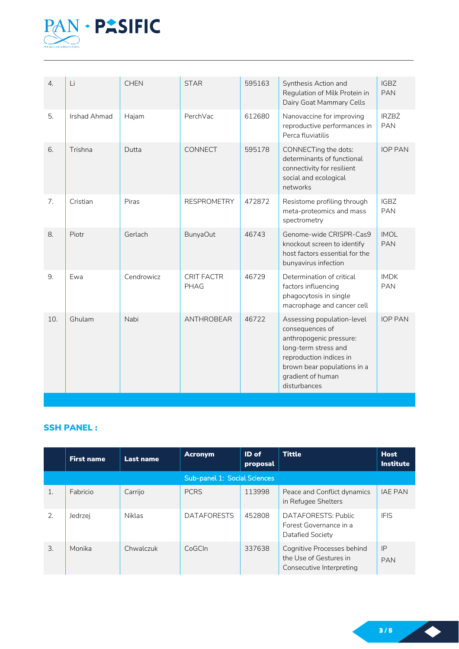

| $\overline{4}$ . | Li           | <b>CHEN</b> | <b>STAR</b>               | 595163 | Synthesis Action and<br>Regulation of Milk Protein in<br>Dairy Goat Mammary Cells                                                                                                               | <b>IGBZ</b><br><b>PAN</b>  |
|------------------|--------------|-------------|---------------------------|--------|-------------------------------------------------------------------------------------------------------------------------------------------------------------------------------------------------|----------------------------|
| 5.               | Irshad Ahmad | Hajam       | PerchVac                  | 612680 | Nanovaccine for improving<br>reproductive performances in<br>Perca fluviatilis                                                                                                                  | <b>IRZBŻ</b><br><b>PAN</b> |
| 6.               | Trishna      | Dutta       | CONNECT                   | 595178 | CONNECTing the dots:<br>determinants of functional<br>connectivity for resilient<br>social and ecological<br>networks                                                                           | <b>IOP PAN</b>             |
| 7.               | Cristian     | Piras       | <b>RESPROMETRY</b>        | 472872 | Resistome profiling through<br>meta-proteomics and mass<br>spectrometry                                                                                                                         | <b>IGBZ</b><br><b>PAN</b>  |
| 8.               | Piotr        | Gerlach     | BunyaOut                  | 46743  | Genome-wide CRISPR-Cas9<br>knockout screen to identify<br>host factors essential for the<br>bunyavirus infection                                                                                | <b>IMOL</b><br><b>PAN</b>  |
| 9.               | Ewa          | Cendrowicz  | <b>CRIT FACTR</b><br>PHAG | 46729  | Determination of critical<br>factors influencing<br>phagocytosis in single<br>macrophage and cancer cell                                                                                        | <b>IMDK</b><br><b>PAN</b>  |
| 10.              | Ghulam       | Nabi        | ANTHROBEAR                | 46722  | Assessing population-level<br>consequences of<br>anthropogenic pressure:<br>long-term stress and<br>reproduction indices in<br>brown bear populations in a<br>gradient of human<br>disturbances | <b>IOP PAN</b>             |

#### **SSH PANEL:**

|                 | <b>First name</b> | <b>Last name</b> | <b>Acronym</b>               | ID of<br>proposal | <b>Tittle</b>                                                                    | <b>Host</b><br><b>Institute</b> |
|-----------------|-------------------|------------------|------------------------------|-------------------|----------------------------------------------------------------------------------|---------------------------------|
|                 |                   |                  | Sub-panel 1: Social Sciences |                   |                                                                                  |                                 |
| $\mathbf{1}$ .  | Fabricio          | Carrijo          | <b>PCRS</b>                  | 113998            | Peace and Conflict dynamics<br>in Refugee Shelters                               | <b>IAE PAN</b>                  |
| 2.              | Jedrzej           | <b>Niklas</b>    | <b>DATAFORESTS</b>           | 452808            | DATAFORESTS: Public<br>Forest Governance in a<br>Datafied Society                | <b>IFIS</b>                     |
| $\mathcal{B}$ . | Monika            | Chwalczuk        | C <sub>0</sub> GCln          | 337638            | Cognitive Processes behind<br>the Use of Gestures in<br>Consecutive Interpreting | IP<br><b>PAN</b>                |

3 / 5

 $\blacklozenge$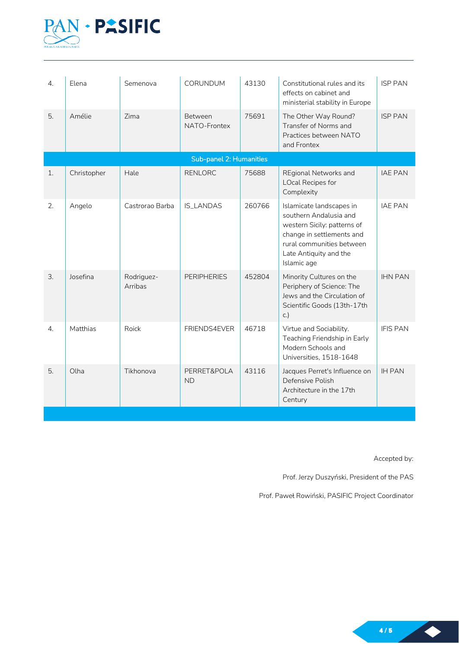

| 4.               | Elena       | Semenova              | <b>CORUNDUM</b>          | 43130  | Constitutional rules and its<br>effects on cabinet and<br>ministerial stability in Europe                                                                                            | <b>ISP PAN</b>  |
|------------------|-------------|-----------------------|--------------------------|--------|--------------------------------------------------------------------------------------------------------------------------------------------------------------------------------------|-----------------|
| 5.               | Amélie      | Zima                  | Between<br>NATO-Frontex  | 75691  | The Other Way Round?<br>Transfer of Norms and<br>Practices between NATO<br>and Frontex                                                                                               | <b>ISP PAN</b>  |
|                  |             |                       | Sub-panel 2: Humanities  |        |                                                                                                                                                                                      |                 |
| 1.               | Christopher | Hale                  | <b>RENLORC</b>           | 75688  | <b>REgional Networks and</b><br><b>LOcal Recipes for</b><br>Complexity                                                                                                               | <b>IAE PAN</b>  |
| 2.               | Angelo      | Castrorao Barba       | <b>IS_LANDAS</b>         | 260766 | Islamicate landscapes in<br>southern Andalusia and<br>western Sicily: patterns of<br>change in settlements and<br>rural communities between<br>Late Antiquity and the<br>Islamic age | <b>IAE PAN</b>  |
| 3.               | Josefina    | Rodriguez-<br>Arribas | <b>PERIPHERIES</b>       | 452804 | Minority Cultures on the<br>Periphery of Science: The<br>Jews and the Circulation of<br>Scientific Goods (13th-17th<br>C.                                                            | <b>IHN PAN</b>  |
| $\overline{4}$ . | Matthias    | Roick                 | FRIENDS4EVER             | 46718  | Virtue and Sociability.<br>Teaching Friendship in Early<br>Modern Schools and<br>Universities, 1518-1648                                                                             | <b>IFIS PAN</b> |
| 5.               | Olha        | Tikhonova             | PERRET&POLA<br><b>ND</b> | 43116  | Jacques Perret's Influence on<br>Defensive Polish<br>Architecture in the 17th<br>Century                                                                                             | <b>IH PAN</b>   |

Accepted by:

Prof. Jerzy Duszyński, President of the PAS

Prof. Paweł Rowiński, PASIFIC Project Coordinator